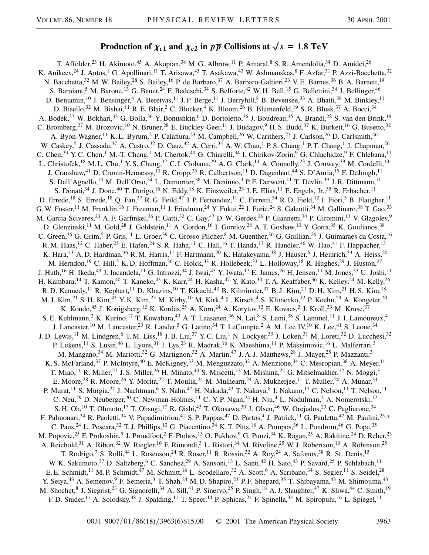## **Production of**  $\chi_{c1}$  and  $\chi_{c2}$  in  $p\overline{p}$  Collisions at  $\sqrt{s} = 1.8$  TeV

T. Affolder,<sup>23</sup> H. Akimoto,<sup>45</sup> A. Akopian,<sup>38</sup> M. G. Albrow,<sup>11</sup> P. Amaral,<sup>8</sup> S. R. Amendolia,<sup>34</sup> D. Amidei,<sup>26</sup> K. Anikeev,<sup>24</sup> J. Antos,<sup>1</sup> G. Apollinari,<sup>11</sup> T. Arisawa,<sup>45</sup> T. Asakawa,<sup>43</sup> W. Ashmanskas,<sup>8</sup> F. Azfar,<sup>31</sup> P. Azzi-Bacchetta,<sup>32</sup> N. Bacchetta,<sup>32</sup> M. W. Bailey,<sup>28</sup> S. Bailey,<sup>16</sup> P. de Barbaro,<sup>37</sup> A. Barbaro-Galtieri,<sup>23</sup> V. E. Barnes,<sup>36</sup> B. A. Barnett,<sup>19</sup> S. Baroiant,<sup>5</sup> M. Barone,<sup>13</sup> G. Bauer,<sup>24</sup> F. Bedeschi,<sup>34</sup> S. Belforte,<sup>42</sup> W. H. Bell,<sup>15</sup> G. Bellettini,<sup>34</sup> J. Bellinger,<sup>46</sup> D. Benjamin,<sup>10</sup> J. Bensinger,<sup>4</sup> A. Beretvas,<sup>11</sup> J. P. Berge,<sup>11</sup> J. Berryhill,<sup>8</sup> B. Bevensee,<sup>33</sup> A. Bhatti,<sup>38</sup> M. Binkley,<sup>11</sup> D. Bisello,<sup>32</sup> M. Bishai,<sup>11</sup> R. E. Blair,<sup>2</sup> C. Blocker,<sup>4</sup> K. Bloom,<sup>26</sup> B. Blumenfeld,<sup>19</sup> S. R. Blusk,<sup>37</sup> A. Bocci,<sup>34</sup> A. Bodek,<sup>37</sup> W. Bokhari,<sup>33</sup> G. Bolla,<sup>36</sup> Y. Bonushkin,<sup>6</sup> D. Bortoletto,<sup>36</sup> J. Boudreau,<sup>35</sup> A. Brandl,<sup>28</sup> S. van den Brink,<sup>19</sup> C. Bromberg,<sup>27</sup> M. Brozovic,<sup>10</sup> N. Bruner,<sup>28</sup> E. Buckley-Geer,<sup>11</sup> J. Budagov,<sup>9</sup> H. S. Budd,<sup>37</sup> K. Burkett,<sup>16</sup> G. Busetto,<sup>32</sup> A. Byon-Wagner,<sup>11</sup> K. L. Byrum,<sup>2</sup> P. Calafiura,<sup>23</sup> M. Campbell,<sup>26</sup> W. Carithers,<sup>23</sup> J. Carlson,<sup>26</sup> D. Carlsmith,<sup>46</sup> W. Caskey,<sup>5</sup> J. Cassada,<sup>37</sup> A. Castro,<sup>32</sup> D. Cauz,<sup>42</sup> A. Cerri,<sup>34</sup> A. W. Chan,<sup>1</sup> P. S. Chang,<sup>1</sup> P. T. Chang,<sup>1</sup> J. Chapman,<sup>26</sup> C. Chen,<sup>33</sup> Y. C. Chen,<sup>1</sup> M.-T. Cheng,<sup>1</sup> M. Chertok,<sup>40</sup> G. Chiarelli,<sup>34</sup> I. Chirikov-Zorin,<sup>9</sup> G. Chlachidze,<sup>9</sup> F. Chlebana,<sup>11</sup> L. Christofek,<sup>18</sup> M. L. Chu,<sup>1</sup> Y. S. Chung,<sup>37</sup> C. I. Ciobanu,<sup>29</sup> A. G. Clark,<sup>14</sup> A. Connolly,<sup>23</sup> J. Conway,<sup>39</sup> M. Cordelli,<sup>13</sup> J. Cranshaw,<sup>41</sup> D. Cronin-Hennessy,<sup>10</sup> R. Cropp,<sup>25</sup> R. Culbertson,<sup>11</sup> D. Dagenhart,<sup>44</sup> S. D'Auria,<sup>15</sup> F. DeJongh,<sup>11</sup> S. Dell'Agnello,<sup>13</sup> M. Dell'Orso,<sup>34</sup> L. Demortier,<sup>38</sup> M. Deninno,<sup>3</sup> P. F. Derwent,<sup>11</sup> T. Devlin,<sup>39</sup> J. R. Dittmann,<sup>11</sup> S. Donati,<sup>34</sup> J. Done,<sup>40</sup> T. Dorigo,<sup>16</sup> N. Eddy,<sup>18</sup> K. Einsweiler,<sup>23</sup> J. E. Elias,<sup>11</sup> E. Engels, Jr.,<sup>35</sup> R. Erbacher,<sup>11</sup> D. Errede,<sup>18</sup> S. Errede,<sup>18</sup> Q. Fan,<sup>37</sup> R. G. Feild,<sup>47</sup> J. P. Fernandez,<sup>11</sup> C. Ferretti,<sup>34</sup> R. D. Field,<sup>12</sup> I. Fiori,<sup>3</sup> B. Flaugher,<sup>11</sup> G. W. Foster,<sup>11</sup> M. Franklin,<sup>16</sup> J. Freeman,<sup>11</sup> J. Friedman,<sup>24</sup> Y. Fukui,<sup>22</sup> I. Furic,<sup>24</sup> S. Galeotti,<sup>34</sup> M. Gallinaro,<sup>38</sup> T. Gao,<sup>33</sup> M. Garcia-Sciveres,<sup>23</sup> A. F. Garfinkel,<sup>36</sup> P. Gatti,<sup>32</sup> C. Gay,<sup>47</sup> D. W. Gerdes,<sup>26</sup> P. Giannetti,<sup>34</sup> P. Giromini,<sup>13</sup> V. Glagolev,<sup>9</sup> D. Glenzinski,<sup>11</sup> M. Gold,<sup>28</sup> J. Goldstein,<sup>11</sup> A. Gordon,<sup>16</sup> I. Gorelov,<sup>28</sup> A. T. Goshaw,<sup>10</sup> Y. Gotra,<sup>35</sup> K. Goulianos,<sup>38</sup> C. Green,<sup>36</sup> G. Grim,<sup>5</sup> P. Gris,<sup>11</sup> L. Groer,<sup>39</sup> C. Grosso-Pilcher,<sup>8</sup> M. Guenther,<sup>36</sup> G. Guillian,<sup>26</sup> J. Guimaraes da Costa,<sup>16</sup> R. M. Haas,<sup>12</sup> C. Haber,<sup>23</sup> E. Hafen,<sup>24</sup> S. R. Hahn,<sup>11</sup> C. Hall,<sup>16</sup> T. Handa,<sup>17</sup> R. Handler,<sup>46</sup> W. Hao,<sup>41</sup> F. Happacher,<sup>13</sup> K. Hara,<sup>43</sup> A. D. Hardman,<sup>36</sup> R. M. Harris,<sup>11</sup> F. Hartmann,<sup>20</sup> K. Hatakeyama,<sup>38</sup> J. Hauser,<sup>6</sup> J. Heinrich,<sup>33</sup> A. Heiss,<sup>20</sup> M. Herndon,<sup>19</sup> C. Hill,<sup>5</sup> K. D. Hoffman,<sup>36</sup> C. Holck,<sup>33</sup> R. Hollebeek,<sup>33</sup> L. Holloway,<sup>18</sup> R. Hughes,<sup>29</sup> J. Huston,<sup>27</sup> J. Huth,<sup>16</sup> H. Ikeda,<sup>43</sup> J. Incandela,<sup>11</sup> G. Introzzi,<sup>34</sup> J. Iwai,<sup>45</sup> Y. Iwata,<sup>17</sup> E. James,<sup>26</sup> H. Jensen,<sup>11</sup> M. Jones,<sup>33</sup> U. Joshi,<sup>11</sup> H. Kambara,<sup>14</sup> T. Kamon,<sup>40</sup> T. Kaneko,<sup>43</sup> K. Karr,<sup>44</sup> H. Kasha,<sup>47</sup> Y. Kato,<sup>30</sup> T. A. Keaffaber,<sup>36</sup> K. Kelley,<sup>24</sup> M. Kelly,<sup>26</sup> R. D. Kennedy,<sup>11</sup> R. Kephart,<sup>11</sup> D. Khazins,<sup>10</sup> T. Kikuchi,<sup>43</sup> B. Kilminster,<sup>37</sup> B. J. Kim,<sup>21</sup> D. H. Kim,<sup>21</sup> H. S. Kim,<sup>18</sup> M. J. Kim,<sup>21</sup> S. H. Kim,<sup>43</sup> Y. K. Kim,<sup>23</sup> M. Kirby,<sup>10</sup> M. Kirk,<sup>4</sup> L. Kirsch,<sup>4</sup> S. Klimenko,<sup>12</sup> P. Koehn,<sup>29</sup> A. Köngeter,<sup>20</sup> K. Kondo,<sup>45</sup> J. Konigsberg,<sup>12</sup> K. Kordas,<sup>25</sup> A. Korn,<sup>24</sup> A. Korytov,<sup>12</sup> E. Kovacs,<sup>2</sup> J. Kroll,<sup>33</sup> M. Kruse,<sup>37</sup> S. E. Kuhlmann,<sup>2</sup> K. Kurino,<sup>17</sup> T. Kuwabara,<sup>43</sup> A. T. Laasanen,<sup>36</sup> N. Lai,<sup>8</sup> S. Lami,<sup>38</sup> S. Lammel,<sup>11</sup> J. I. Lamoureux,<sup>4</sup> J. Lancaster,<sup>10</sup> M. Lancaster,<sup>23</sup> R. Lander,<sup>5</sup> G. Latino,<sup>34</sup> T. LeCompte,<sup>2</sup> A. M. Lee IV,<sup>10</sup> K. Lee,<sup>41</sup> S. Leone,<sup>34</sup> J. D. Lewis,<sup>11</sup> M. Lindgren,<sup>6</sup> T. M. Liss,<sup>18</sup> J. B. Liu,<sup>37</sup> Y. C. Liu,<sup>1</sup> N. Lockyer,<sup>33</sup> J. Loken,<sup>31</sup> M. Loreti,<sup>32</sup> D. Lucchesi,<sup>32</sup> P. Lukens,<sup>11</sup> S. Lusin,<sup>46</sup> L. Lyons,<sup>31</sup> J. Lys,<sup>23</sup> R. Madrak,<sup>16</sup> K. Maeshima,<sup>11</sup> P. Maksimovic,<sup>16</sup> L. Malferrari,<sup>3</sup> M. Mangano,<sup>34</sup> M. Mariotti,<sup>32</sup> G. Martignon,<sup>32</sup> A. Martin,<sup>47</sup> J. A. J. Matthews,<sup>28</sup> J. Mayer,<sup>25</sup> P. Mazzanti,<sup>3</sup> K. S. McFarland,<sup>37</sup> P. McIntyre,<sup>40</sup> E. McKigney,<sup>33</sup> M. Menguzzato,<sup>32</sup> A. Menzione,<sup>34</sup> C. Mesropian,<sup>38</sup> A. Meyer,<sup>11</sup> T. Miao,<sup>11</sup> R. Miller,<sup>27</sup> J. S. Miller,<sup>26</sup> H. Minato,<sup>43</sup> S. Miscetti,<sup>13</sup> M. Mishina,<sup>22</sup> G. Mitselmakher,<sup>12</sup> N. Moggi,<sup>3</sup> E. Moore,<sup>28</sup> R. Moore,<sup>26</sup> Y. Morita,<sup>22</sup> T. Moulik,<sup>24</sup> M. Mulhearn,<sup>24</sup> A. Mukherjee,<sup>11</sup> T. Muller,<sup>20</sup> A. Munar,<sup>34</sup> P. Murat,<sup>11</sup> S. Murgia,<sup>27</sup> J. Nachtman,<sup>6</sup> S. Nahn,<sup>47</sup> H. Nakada,<sup>43</sup> T. Nakaya,<sup>8</sup> I. Nakano,<sup>17</sup> C. Nelson,<sup>11</sup> T. Nelson,<sup>11</sup> C. Neu,<sup>29</sup> D. Neuberger,<sup>20</sup> C. Newman-Holmes,<sup>11</sup> C.-Y. P. Ngan,<sup>24</sup> H. Niu,<sup>4</sup> L. Nodulman,<sup>2</sup> A. Nomerotski,<sup>12</sup> S. H. Oh,<sup>10</sup> T. Ohmoto,<sup>17</sup> T. Ohsugi,<sup>17</sup> R. Oishi,<sup>43</sup> T. Okusawa,<sup>30</sup> J. Olsen,<sup>46</sup> W. Orejudos,<sup>23</sup> C. Pagliarone,<sup>34</sup> F. Palmonari,<sup>34</sup> R. Paoletti,<sup>34</sup> V. Papadimitriou,<sup>41</sup> S. P. Pappas,<sup>47</sup> D. Partos,<sup>4</sup> J. Patrick,<sup>11</sup> G. Pauletta,<sup>42</sup> M. Paulini,<sup>23,\*</sup> C. Paus,<sup>24</sup> L. Pescara,<sup>32</sup> T. J. Phillips,<sup>10</sup> G. Piacentino,<sup>34</sup> K. T. Pitts,<sup>18</sup> A. Pompos,<sup>36</sup> L. Pondrom,<sup>46</sup> G. Pope,<sup>35</sup> M. Popovic,<sup>25</sup> F. Prokoshin,<sup>9</sup> J. Proudfoot,<sup>2</sup> F. Ptohos,<sup>13</sup> O. Pukhov,<sup>9</sup> G. Punzi,<sup>34</sup> K. Ragan,<sup>25</sup> A. Rakitine,<sup>24</sup> D. Reher,<sup>23</sup> A. Reichold,<sup>31</sup> A. Ribon,<sup>32</sup> W. Riegler,<sup>16</sup> F. Rimondi,<sup>3</sup> L. Ristori,<sup>34</sup> M. Riveline,<sup>25</sup> W. J. Robertson,<sup>10</sup> A. Robinson,<sup>25</sup> T. Rodrigo,<sup>7</sup> S. Rolli,<sup>44</sup> L. Rosenson,<sup>24</sup> R. Roser,<sup>11</sup> R. Rossin,<sup>32</sup> A. Roy,<sup>24</sup> A. Safonov,<sup>38</sup> R. St. Denis,<sup>15</sup> W. K. Sakumoto,<sup>37</sup> D. Saltzberg,<sup>6</sup> C. Sanchez,<sup>29</sup> A. Sansoni,<sup>13</sup> L. Santi,<sup>42</sup> H. Sato,<sup>43</sup> P. Savard,<sup>25</sup> P. Schlabach,<sup>11</sup> E. E. Schmidt,<sup>11</sup> M. P. Schmidt,<sup>47</sup> M. Schmitt,<sup>16</sup> L. Scodellaro,<sup>32</sup> A. Scott,<sup>6</sup> A. Scribano,<sup>34</sup> S. Segler,<sup>11</sup> S. Seidel,<sup>28</sup> Y. Seiya,<sup>43</sup> A. Semenov,<sup>9</sup> F. Semeria,<sup>3</sup> T. Shah,<sup>24</sup> M. D. Shapiro,<sup>23</sup> P. F. Shepard,<sup>35</sup> T. Shibayama,<sup>43</sup> M. Shimojima,<sup>43</sup> M. Shochet, <sup>8</sup> J. Siegrist, <sup>23</sup> G. Signorelli, <sup>34</sup> A. Sill, <sup>41</sup> P. Sinervo, <sup>25</sup> P. Singh, <sup>18</sup> A. J. Slaughter, <sup>47</sup> K. Sliwa, <sup>44</sup> C. Smith, <sup>19</sup> F. D. Snider,<sup>11</sup> A. Solodsky,<sup>38</sup> J. Spalding,<sup>11</sup> T. Speer,<sup>14</sup> P. Sphicas,<sup>24</sup> F. Spinella,<sup>34</sup> M. Spiropulu,<sup>16</sup> L. Spiegel,<sup>11</sup>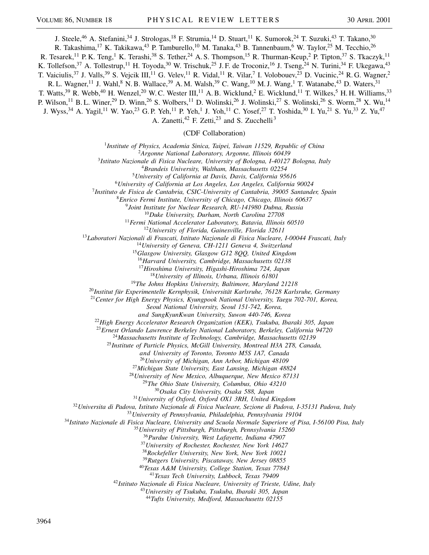J. Steele,<sup>46</sup> A. Stefanini,<sup>34</sup> J. Strologas,<sup>18</sup> F. Strumia,<sup>14</sup> D. Stuart,<sup>11</sup> K. Sumorok,<sup>24</sup> T. Suzuki,<sup>43</sup> T. Takano,<sup>30</sup> R. Takashima,<sup>17</sup> K. Takikawa,<sup>43</sup> P. Tamburello,<sup>10</sup> M. Tanaka,<sup>43</sup> B. Tannenbaum,<sup>6</sup> W. Taylor,<sup>25</sup> M. Tecchio,<sup>26</sup> R. Tesarek,<sup>11</sup> P. K. Teng,<sup>1</sup> K. Terashi,<sup>38</sup> S. Tether,<sup>24</sup> A. S. Thompson,<sup>15</sup> R. Thurman-Keup,<sup>2</sup> P. Tipton,<sup>37</sup> S. Tkaczyk,<sup>11</sup> K. Tollefson,<sup>37</sup> A. Tollestrup,<sup>11</sup> H. Toyoda,<sup>30</sup> W. Trischuk,<sup>25</sup> J. F. de Troconiz,<sup>16</sup> J. Tseng,<sup>24</sup> N. Turini,<sup>34</sup> F. Ukegawa,<sup>43</sup> T. Vaiciulis,<sup>37</sup> J. Valls,<sup>39</sup> S. Vejcik III,<sup>11</sup> G. Velev,<sup>11</sup> R. Vidal,<sup>11</sup> R. Vilar,<sup>7</sup> I. Volobouev,<sup>23</sup> D. Vucinic,<sup>24</sup> R. G. Wagner,<sup>2</sup> R. L. Wagner,<sup>11</sup> J. Wahl,<sup>8</sup> N. B. Wallace,<sup>39</sup> A. M. Walsh,<sup>39</sup> C. Wang,<sup>10</sup> M. J. Wang,<sup>1</sup> T. Watanabe,<sup>43</sup> D. Waters,<sup>31</sup> T. Watts,<sup>39</sup> R. Webb,<sup>40</sup> H. Wenzel,<sup>20</sup> W. C. Wester III,<sup>11</sup> A. B. Wicklund,<sup>2</sup> E. Wicklund,<sup>11</sup> T. Wilkes,<sup>5</sup> H. H. Williams,<sup>33</sup> P. Wilson,<sup>11</sup> B. L. Winer,<sup>29</sup> D. Winn,<sup>26</sup> S. Wolbers,<sup>11</sup> D. Wolinski,<sup>26</sup> J. Wolinski,<sup>27</sup> S. Wolinski,<sup>26</sup> S. Worm,<sup>28</sup> X. Wu,<sup>14</sup> J. Wyss,<sup>34</sup> A. Yagil,<sup>11</sup> W. Yao,<sup>23</sup> G. P. Yeh,<sup>11</sup> P. Yeh,<sup>1</sup> J. Yoh,<sup>11</sup> C. Yosef,<sup>27</sup> T. Yoshida,<sup>30</sup> I. Yu,<sup>21</sup> S. Yu,<sup>33</sup> Z. Yu,<sup>47</sup> A. Zanetti, F. Zetti,  $23$  and S. Zucchelli<sup>3</sup>

(CDF Collaboration)

*Institute of Physics, Academia Sinica, Taipei, Taiwan 11529, Republic of China*

*Argonne National Laboratory, Argonne, Illinois 60439*

*Istituto Nazionale di Fisica Nucleare, University of Bologna, I-40127 Bologna, Italy*

*Brandeis University, Waltham, Massachusetts 02254*

*University of California at Davis, Davis, California 95616*

*University of California at Los Angeles, Los Angeles, California 90024*

*Instituto de Fisica de Cantabria, CSIC-University of Cantabria, 39005 Santander, Spain*

*Enrico Fermi Institute, University of Chicago, Chicago, Illinois 60637*

*Joint Institute for Nuclear Research, RU-141980 Dubna, Russia*

*Duke University, Durham, North Carolina 27708*

*Fermi National Accelerator Laboratory, Batavia, Illinois 60510*

*University of Florida, Gainesville, Florida 32611*

*Laboratori Nazionali di Frascati, Istituto Nazionale di Fisica Nucleare, I-00044 Frascati, Italy*

*University of Geneva, CH-1211 Geneva 4, Switzerland*

*Glasgow University, Glasgow G12 8QQ, United Kingdom*

*Harvard University, Cambridge, Massachusetts 02138*

*Hiroshima University, Higashi-Hiroshima 724, Japan*

*University of Illinois, Urbana, Illinois 61801*

*The Johns Hopkins University, Baltimore, Maryland 21218*

*Institut für Experimentelle Kernphysik, Universität Karlsruhe, 76128 Karlsruhe, Germany*

*Center for High Energy Physics, Kyungpook National University, Taegu 702-701, Korea,*

*Seoul National University, Seoul 151-742, Korea,*

*and SungKyunKwan University, Suwon 440-746, Korea*

*High Energy Accelerator Research Organization (KEK), Tsukuba, Ibaraki 305, Japan*

*Ernest Orlando Lawrence Berkeley National Laboratory, Berkeley, California 94720*

*Massachusetts Institute of Technology, Cambridge, Massachusetts 02139*

*Institute of Particle Physics, McGill University, Montreal H3A 2T8, Canada,*

*and University of Toronto, Toronto M5S 1A7, Canada*

*University of Michigan, Ann Arbor, Michigan 48109*

*Michigan State University, East Lansing, Michigan 48824*

*University of New Mexico, Albuquerque, New Mexico 87131*

*The Ohio State University, Columbus, Ohio 43210*

*Osaka City University, Osaka 588, Japan*

*University of Oxford, Oxford OX1 3RH, United Kingdom*

*Universita di Padova, Istituto Nazionale di Fisica Nucleare, Sezione di Padova, I-35131 Padova, Italy*

*University of Pennsylvania, Philadelphia, Pennsylvania 19104*

*Istituto Nazionale di Fisica Nucleare, University and Scuola Normale Superiore of Pisa, I-56100 Pisa, Italy*

*University of Pittsburgh, Pittsburgh, Pennsylvania 15260*

*Purdue University, West Lafayette, Indiana 47907*

*University of Rochester, Rochester, New York 14627*

*Rockefeller University, New York, New York 10021*

*Rutgers University, Piscataway, New Jersey 08855*

*Texas A&M University, College Station, Texas 77843*

*Texas Tech University, Lubbock, Texas 79409*

*Istituto Nazionale di Fisica Nucleare, University of Trieste, Udine, Italy*

*University of Tsukuba, Tsukuba, Ibaraki 305, Japan*

*Tufts University, Medford, Massachusetts 02155*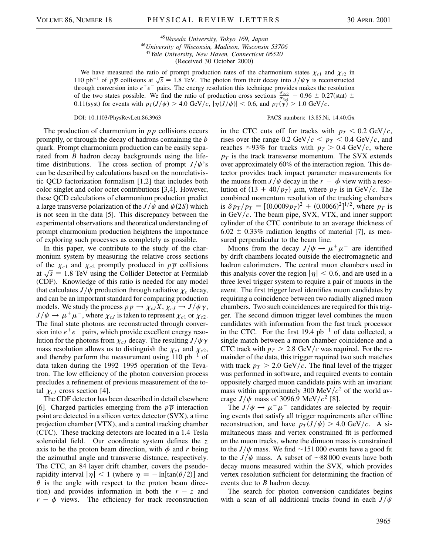*Waseda University, Tokyo 169, Japan University of Wisconsin, Madison, Wisconsin 53706 Yale University, New Haven, Connecticut 06520* (Received 30 October 2000)

We have measured the ratio of prompt production rates of the charmonium states  $\chi_{c1}$  and  $\chi_{c2}$  in 110 pb<sup>-1</sup> of  $p\overline{p}$  collisions at  $\sqrt{s}$  = 1.8 TeV. The photon from their decay into  $J/\psi \gamma$  is reconstructed through conversion into  $e^+e^-$  pairs. The energy resolution this technique provides makes the resolution of the two states possible. We find the ratio of production cross sections  $\frac{\sigma_{\chi c2}}{\sigma_{\chi c1}} = 0.96 \pm 0.27$ (stat)  $\pm$ 0.11(syst) for events with  $p_T(J/\psi) > 4.0$  GeV/c,  $|\eta(J/\psi)| < 0.6$ , and  $p_T(\hat{\gamma}) > 1.0$  GeV/c.

The production of charmonium in  $p\overline{p}$  collisions occurs promptly, or through the decay of hadrons containing the *b* quark. Prompt charmonium production can be easily separated from *B* hadron decay backgrounds using the lifetime distributions. The cross section of prompt  $J/\psi$ 's can be described by calculations based on the nonrelativistic QCD factorization formalism [1,2] that includes both color singlet and color octet contributions [3,4]. However, these QCD calculations of charmonium production predict a large transverse polarization of the  $J/\psi$  and  $\psi(2S)$  which is not seen in the data [5]. This discrepancy between the experimental observations and theoretical understanding of prompt charmonium production heightens the importance of exploring such processes as completely as possible.

In this paper, we contribute to the study of the charmonium system by measuring the relative cross sections of the  $\chi_{c1}$  and  $\chi_{c2}$  promptly produced in  $p\overline{p}$  collisions at  $\sqrt{s}$  = 1.8 TeV using the Collider Detector at Fermilab (CDF). Knowledge of this ratio is needed for any model that calculates  $J/\psi$  production through radiative  $\chi_c$  decay, and can be an important standard for comparing production models. We study the process  $p\overline{p} \rightarrow \chi_{cJ}X$ ,  $\chi_{cJ} \rightarrow J/\psi \gamma$ ,  $J/\psi \rightarrow \mu^+\mu^-$ , where  $\chi_{cJ}$  is taken to represent  $\chi_{c1}$  or  $\chi_{c2}$ . The final state photons are reconstructed through conversion into  $e^+e^-$  pairs, which provide excellent energy resolution for the photons from  $\chi_{cJ}$  decay. The resulting  $J/\psi \gamma$ mass resolution allows us to distinguish the  $\chi_{c1}$  and  $\chi_{c2}$ , and thereby perform the measurement using  $110$  pb<sup>-1</sup> of data taken during the 1992–1995 operation of the Tevatron. The low efficiency of the photon conversion process precludes a refinement of previous measurement of the total  $\chi_{cJ}$  cross section [4].

The CDF detector has been described in detail elsewhere [6]. Charged particles emerging from the  $p\overline{p}$  interaction point are detected in a silicon vertex detector (SVX), a time projection chamber (VTX), and a central tracking chamber (CTC). These tracking detectors are located in a 1.4 Tesla solenoidal field. Our coordinate system defines the *z* axis to be the proton beam direction, with  $\phi$  and r being the azimuthal angle and transverse distance, respectively. The CTC, an 84 layer drift chamber, covers the pseudorapidity interval  $|\eta| < 1$  (where  $\eta = -\ln[\tan(\theta/2)]$  and  $\theta$  is the angle with respect to the proton beam direction) and provides information in both the  $r - z$  and  $r - \phi$  views. The efficiency for track reconstruction

## DOI: 10.1103/PhysRevLett.86.3963 PACS numbers: 13.85.Ni, 14.40.Gx

in the CTC cuts off for tracks with  $p_T < 0.2 \text{ GeV}/c$ , rises over the range 0.2 GeV/ $c < p_T < 0.4$  GeV/ $c$ , and reaches  $\approx 93\%$  for tracks with  $p_T > 0.4 \text{ GeV}/c$ , where  $p_T$  is the track transverse momentum. The SVX extends over approximately 60% of the interaction region. This detector provides track impact parameter measurements for the muons from  $J/\psi$  decay in the  $r - \phi$  view with a resolution of  $(13 + 40/p_T)$   $\mu$ m, where  $p_T$  is in GeV/c. The combined momentum resolution of the tracking chambers is  $\delta p_T/p_T = [(0.0009p_T)^2 + (0.0066)^2]^{1/2}$ , where  $p_T$  is in GeV*c*. The beam pipe, SVX, VTX, and inner support cylinder of the CTC contribute to an average thickness of  $6.02 \pm 0.33\%$  radiation lengths of material [7], as measured perpendicular to the beam line.

Muons from the decay  $J/\psi \rightarrow \mu^+ \mu^-$  are identified by drift chambers located outside the electromagnetic and hadron calorimeters. The central muon chambers used in this analysis cover the region  $|\eta| < 0.6$ , and are used in a three level trigger system to require a pair of muons in the event. The first trigger level identifies muon candidates by requiring a coincidence between two radially aligned muon chambers. Two such coincidences are required for this trigger. The second dimuon trigger level combines the muon candidates with information from the fast track processor in the CTC. For the first 19.4  $pb^{-1}$  of data collected, a single match between a muon chamber coincidence and a CTC track with  $p_T > 2.8 \text{ GeV}/c$  was required. For the remainder of the data, this trigger required two such matches with track  $p_T > 2.0$  GeV/c. The final level of the trigger was performed in software, and required events to contain oppositely charged muon candidate pairs with an invariant mass within approximately 300 MeV $/c<sup>2</sup>$  of the world average  $J/\psi$  mass of 3096.9 MeV/ $c^2$  [8].

The  $J/\psi \rightarrow \mu^+\mu^-$  candidates are selected by requiring events that satisfy all trigger requirements after offline reconstruction, and have  $p_T(J/\psi) > 4.0 \text{ GeV}/c$ . A simultaneous mass and vertex constrained fit is performed on the muon tracks, where the dimuon mass is constrained to the  $J/\psi$  mass. We find  $\sim$  151 000 events have a good fit to the  $J/\psi$  mass. A subset of  $\sim 88\,000$  events have both decay muons measured within the SVX, which provides vertex resolution sufficient for determining the fraction of events due to *B* hadron decay.

The search for photon conversion candidates begins with a scan of all additional tracks found in each  $J/\psi$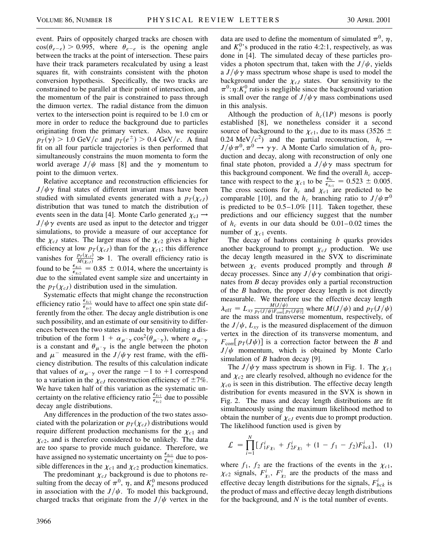event. Pairs of oppositely charged tracks are chosen with  $cos(\theta_{e-e}) > 0.995$ , where  $\theta_{e-e}$  is the opening angle between the tracks at the point of intersection. These pairs have their track parameters recalculated by using a least squares fit, with constraints consistent with the photon conversion hypothesis. Specifically, the two tracks are constrained to be parallel at their point of intersection, and the momentum of the pair is constrained to pass through the dimuon vertex. The radial distance from the dimuon vertex to the intersection point is required to be 1.0 cm or more in order to reduce the background due to particles originating from the primary vertex. Also, we require  $p_T(\gamma) > 1.0$  GeV/c and  $p_T(e^{\pm}) > 0.4$  GeV/c. A final fit on all four particle trajectories is then performed that simultaneously constrains the muon momenta to form the world average  $J/\psi$  mass [8] and the  $\gamma$  momentum to point to the dimuon vertex.

Relative acceptance and reconstruction efficiencies for  $J/\psi\gamma$  final states of different invariant mass have been studied with simulated events generated with a  $p_T(\chi_{cJ})$ distribution that was tuned to match the distribution of events seen in the data [4]. Monte Carlo generated  $\chi_{cJ} \rightarrow$  $J/\psi\gamma$  events are used as input to the detector and trigger simulations, to provide a measure of our acceptance for the  $\chi_{cJ}$  states. The larger mass of the  $\chi_{c2}$  gives a higher efficiency at low  $p_T(\chi_{cJ})$  than for the  $\chi_{c1}$ ; this difference vanishes for  $\frac{p_T(\chi_{cJ})}{M(\chi_{cJ})}$  $\frac{p_T(X_{cJ})}{M(X_{cJ})} \gg 1$ . The overall efficiency ratio is found to be  $\frac{\epsilon_{Xc1}}{\epsilon_{Xc2}} = 0.85 \pm 0.014$ , where the uncertainty is due to the simulated event sample size and uncertainty in the  $p_T(\chi_{cJ})$  distribution used in the simulation.

Systematic effects that might change the reconstruction efficiency ratio  $\frac{\epsilon_{xc1}}{\epsilon_{xc2}}$  would have to affect one spin state differently from the other. The decay angle distribution is one such possibility, and an estimate of our sensitivity to differences between the two states is made by convoluting a distribution of the form  $1 + \alpha_{\mu^-\gamma} \cos^2(\theta_{\mu^-\gamma})$ , where  $\alpha_{\mu^-\gamma}$ is a constant and  $\theta_{\mu^-\gamma}$  is the angle between the photon and  $\mu^-$  measured in the *J*/ $\psi \gamma$  rest frame, with the efficiency distribution. The results of this calculation indicate that values of  $\alpha_{\mu^-\gamma}$  over the range  $-1$  to  $+1$  correspond to a variation in the  $\chi_{cJ}$  reconstruction efficiency of  $\pm 7\%$ . We have taken half of this variation as the systematic uncertainty on the relative efficiency ratio  $\frac{\epsilon_{\chi_{c1}}}{\epsilon_{\chi_{c2}}}$  due to possible decay angle distributions.

Any differences in the production of the two states associated with the polarization or  $p_T(\chi_{cJ})$  distributions would require different production mechanisms for the  $\chi_{c1}$  and  $\chi_{c2}$ , and is therefore considered to be unlikely. The data are too sparse to provide much guidance. Therefore, we have assigned no systematic uncertainty on  $\frac{\epsilon_{xc1}}{\epsilon_{xc2}}$  due to possible differences in the  $\chi_{c1}$  and  $\chi_{c2}$  production kinematics.

The predominant  $\chi_{cJ}$  background is due to photons resulting from the decay of  $\pi^0$ ,  $\eta$ , and  $K_s^0$  mesons produced in association with the  $J/\psi$ . To model this background, charged tracks that originate from the  $J/\psi$  vertex in the data are used to define the momentum of simulated  $\pi^0$ ,  $\eta$ , and  $K_s^0$ 's produced in the ratio 4:2:1, respectively, as was done in [4]. The simulated decay of these particles provides a photon spectrum that, taken with the  $J/\psi$ , yields a  $J/\psi \gamma$  mass spectrum whose shape is used to model the background under the  $\chi_{cJ}$  states. Our sensitivity to the  $\pi^0$ : $\eta$ :*K*<sup>0</sup> ratio is negligible since the background variation is small over the range of  $J/\psi \gamma$  mass combinations used in this analysis.

Although the production of  $h_c(1P)$  mesons is poorly established [8], we nonetheless consider it a second source of background to the  $\chi_{c1}$ , due to its mass (3526  $\pm$ 0.24 MeV/ $c^2$ ) and the partial reconstruction,  $h_c \rightarrow$  $J/\psi \pi^0$ ,  $\pi^0 \rightarrow \gamma \gamma$ . A Monte Carlo simulation of *h<sub>c</sub>* production and decay, along with reconstruction of only one final state photon, provided a  $J/\psi \gamma$  mass spectrum for this background component. We find the overall  $h_c$  acceptance with respect to the  $\chi_{c1}$  to be  $\frac{\epsilon_{hc}}{\epsilon_{xcl}} = 0.523 \pm 0.005$ . The cross sections for  $h_c$  and  $\chi_c$ <sup>1</sup> are predicted to be comparable [10], and the  $h_c$  branching ratio to  $J/\psi \pi^0$ is predicted to be  $0.5-1.0\%$  [11]. Taken together, these predictions and our efficiency suggest that the number of  $h_c$  events in our data should be  $0.01-0.02$  times the number of  $\chi_{c1}$  events.

The decay of hadrons containing *b* quarks provides another background to prompt  $\chi_{cJ}$  production. We use the decay length measured in the SVX to discriminate between  $\chi_c$  events produced promptly and through *B* decay processes. Since any  $J/\psi \gamma$  combination that originates from *B* decay provides only a partial reconstruction of the *B* hadron, the proper decay length is not directly measurable. We therefore use the effective decay length  $\lambda_{\text{eff}} = L_{xy} \frac{M(J/\psi)}{p_T(J/\psi) F_{\text{corr}} L}$  $\frac{M(J/\psi)}{p_T(J/\psi)F_{\text{conf}}[p_T(J\psi)]}$  where  $M(J/\psi)$  and  $p_T(J/\psi)$ are the mass and transverse momentum, respectively, of the  $J/\psi$ ,  $L_{xy}$  is the measured displacement of the dimuon vertex in the direction of its transverse momentum, and  $F_{\text{corr}}[p_T(J\psi)]$  is a correction factor between the *B* and  $J/\psi$  momentum, which is obtained by Monte Carlo simulation of *B* hadron decay [9].

The  $J/\psi \gamma$  mass spectrum is shown in Fig. 1. The  $\chi_{c1}$ and  $\chi_{c2}$  are clearly resolved, although no evidence for the  $\chi_{c0}$  is seen in this distribution. The effective decay length distribution for events measured in the SVX is shown in Fig. 2. The mass and decay length distributions are fit simultaneously using the maximum likelihood method to obtain the number of  $\chi_{cJ}$  events due to prompt production. The likelihood function used is given by

$$
\mathcal{L} = \prod_{i=1}^{N} \big[ f_{1F\chi_1}^i + f_{2F\chi_2}^i + (1 - f_1 - f_2) F_{bck}^i \big], \quad (1)
$$

where  $f_1$ ,  $f_2$  are the fractions of the events in the  $\chi_{c1}$ ,  $\chi_{c2}$  signals,  $F^i_{\chi_1}$ ,  $F^i_{\chi_2}$  are the products of the mass and effective decay length distributions for the signals,  $F_{bck}^{i}$  is the product of mass and effective decay length distributions for the background, and *N* is the total number of events.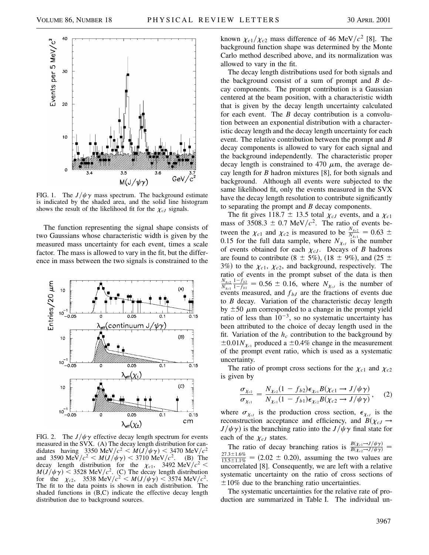

FIG. 1. The  $J/\psi \gamma$  mass spectrum. The background estimate is indicated by the shaded area, and the solid line histogram shows the result of the likelihood fit for the  $\chi_{cJ}$  signals.

The function representing the signal shape consists of two Gaussians whose characteristic width is given by the measured mass uncertainty for each event, times a scale factor. The mass is allowed to vary in the fit, but the difference in mass between the two signals is constrained to the



FIG. 2. The  $J/\psi\gamma$  effective decay length spectrum for events measured in the SVX. (A) The decay length distribution for candidates having 3350 MeV/ $c^2$  <  $M(J/\psi \gamma)$  < 3470 MeV/ $c^2$ and 3590 MeV/ $c^2$  <  $M(J/\psi \gamma)$  < 3710 MeV/ $c^2$ . (B) The decay length distribution for the  $\chi_{c1}$ , 3492 MeV/ $c^2$  <  $M(J/\psi \gamma)$  < 3528 MeV/ $c^2$ . (C) The decay length distribution for the  $\chi_{c2}$ , 3538 MeV/ $c^2 < M(J/\psi \gamma) < 3574$  MeV/ $c^2$ . The fit to the data points is shown in each distribution. The shaded functions in (B,C) indicate the effective decay length distribution due to background sources.

known  $\chi_{c1}/\chi_{c2}$  mass difference of 46 MeV/ $c^2$  [8]. The background function shape was determined by the Monte Carlo method described above, and its normalization was allowed to vary in the fit.

The decay length distributions used for both signals and the background consist of a sum of prompt and *B* decay components. The prompt contribution is a Gaussian centered at the beam position, with a characteristic width that is given by the decay length uncertainty calculated for each event. The *B* decay contribution is a convolution between an exponential distribution with a characteristic decay length and the decay length uncertainty for each event. The relative contribution between the prompt and *B* decay components is allowed to vary for each signal and the background independently. The characteristic proper decay length is constrained to 470  $\mu$ m, the average decay length for *B* hadron mixtures [8], for both signals and background. Although all events were subjected to the same likelihood fit, only the events measured in the SVX have the decay length resolution to contribute significantly to separating the prompt and *B* decay components.

The fit gives  $118.7 \pm 13.5$  total  $\chi_{cJ}$  events, and a  $\chi_{c1}$ mass of 3508.3  $\pm$  0.7 MeV/ $c^2$ . The ratio of events between the  $\chi_{c1}$  and  $\chi_{c2}$  is measured to be  $\frac{N_{Xc2}}{N_{Xc1}} = 0.63 \pm 0.005$ 0.15 for the full data sample, where  $N_{\chi_{cJ}}$  is the number of events obtained for each  $\chi_{cJ}$ . Decays of *B* hadrons are found to contribute (8  $\pm$  5%), (18  $\pm$  9%), and (25  $\pm$ 3%) to the  $\chi_{c1}$ ,  $\chi_{c2}$ , and background, respectively. The ratio of events in the prompt subset of the data is then *N*<sup>x</sup>*c*<sup>2</sup>  $N_{\chi_{c1}}$  $\frac{1-f_{b2}}{1-f_{b1}} = 0.56 \pm 0.16$ , where  $N_{\chi_{cJ}}$  is the number of events measured, and  $f_{bJ}$  are the fractions of events due to *B* decay. Variation of the characteristic decay length by  $\pm 50 \mu$ m corresponded to a change in the prompt yield ratio of less than  $10^{-3}$ , so no systematic uncertainty has been attributed to the choice of decay length used in the fit. Variation of the  $h_c$  contribution to the background by  $\pm 0.01 N_{\chi_{c1}}$  produced a  $\pm 0.4\%$  change in the measurement of the prompt event ratio, which is used as a systematic uncertainty.

The ratio of prompt cross sections for the  $\chi_{c1}$  and  $\chi_{c2}$ is given by

$$
\frac{\sigma_{\chi_{c2}}}{\sigma_{\chi_{c1}}} = \frac{N_{\chi_{c2}}(1 - f_{b2})\epsilon_{\chi_{c1}}B(\chi_{c1} \to J/\psi \gamma)}{N_{\chi_{c1}}(1 - f_{b1})\epsilon_{\chi_{c2}}B(\chi_{c2} \to J/\psi \gamma)}, \quad (2)
$$

where  $\sigma_{\chi_{cJ}}$  is the production cross section,  $\epsilon_{\chi_{cJ}}$  is the reconstruction acceptance and efficiency, and  $B(\chi_{cJ} \rightarrow$  $J/\psi\gamma$  is the branching ratio into the  $J/\psi\gamma$  final state for each of the  $\chi_{cJ}$  states.

The ratio of decay branching ratios is  $\frac{B(\chi_{c1} \rightarrow J/\psi \gamma)}{B(\chi_{c2} \rightarrow J/\psi \gamma)}$ The ratio of decay branching ratios is  $\frac{B(x_c - 3/\psi \gamma)}{B(x_c - 3/\psi \gamma)} =$ <br>27.3±1.6% = (2.02 ± 0.20), assuming the two values are  $\frac{27.5 \pm 1.0\%}{13.5 \pm 1.1\%}$  = (2.02  $\pm$  0.20), assuming the two values are uncorrelated [8]. Consequently, we are left with a relative systematic uncertainty on the ratio of cross sections of  $\pm 10\%$  due to the branching ratio uncertainties.

The systematic uncertainties for the relative rate of production are summarized in Table I. The individual un-